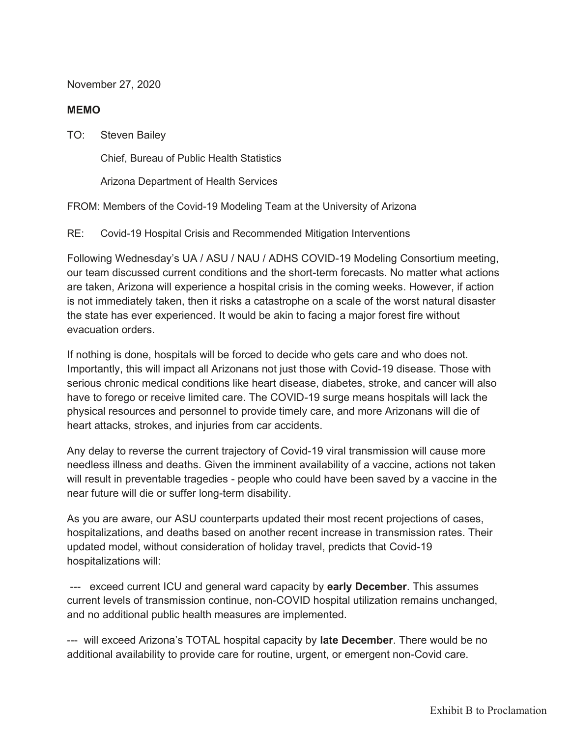November 27, 2020

## **MEMO**

TO: Steven Bailey

Chief, Bureau of Public Health Statistics

Arizona Department of Health Services

FROM: Members of the Covid-19 Modeling Team at the University of Arizona

RE: Covid-19 Hospital Crisis and Recommended Mitigation Interventions

Following Wednesday's UA / ASU / NAU / ADHS COVID-19 Modeling Consortium meeting, our team discussed current conditions and the short-term forecasts. No matter what actions are taken, Arizona will experience a hospital crisis in the coming weeks. However, if action is not immediately taken, then it risks a catastrophe on a scale of the worst natural disaster the state has ever experienced. It would be akin to facing a major forest fire without evacuation orders.

If nothing is done, hospitals will be forced to decide who gets care and who does not. Importantly, this will impact all Arizonans not just those with Covid-19 disease. Those with serious chronic medical conditions like heart disease, diabetes, stroke, and cancer will also have to forego or receive limited care. The COVID-19 surge means hospitals will lack the physical resources and personnel to provide timely care, and more Arizonans will die of heart attacks, strokes, and injuries from car accidents.

Any delay to reverse the current trajectory of Covid-19 viral transmission will cause more needless illness and deaths. Given the imminent availability of a vaccine, actions not taken will result in preventable tragedies - people who could have been saved by a vaccine in the near future will die or suffer long-term disability.

As you are aware, our ASU counterparts updated their most recent projections of cases, hospitalizations, and deaths based on another recent increase in transmission rates. Their updated model, without consideration of holiday travel, predicts that Covid-19 hospitalizations will:

 --- exceed current ICU and general ward capacity by **early December**. This assumes current levels of transmission continue, non-COVID hospital utilization remains unchanged, and no additional public health measures are implemented.

--- will exceed Arizona's TOTAL hospital capacity by **late December**. There would be no additional availability to provide care for routine, urgent, or emergent non-Covid care.